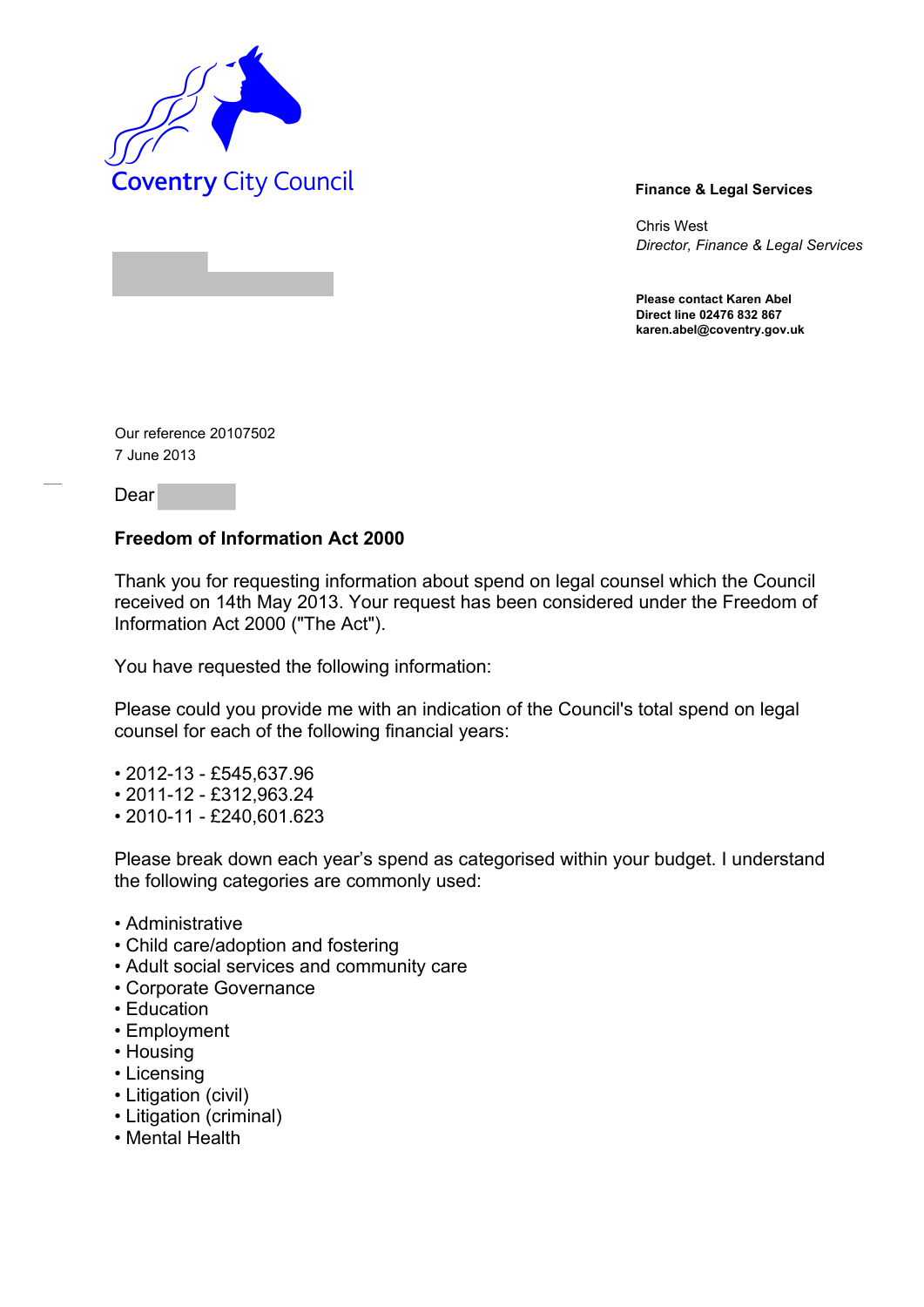

Chris West *Director, Finance & Legal Services* 

**Please contact Karen Abel Direct line 02476 832 867 karen.abel@coventry.gov.uk** 

Our reference 20107502 7 June 2013

Dear

## **Freedom of Information Act 2000**

Thank you for requesting information about spend on legal counsel which the Council received on 14th May 2013. Your request has been considered under the Freedom of Information Act 2000 ("The Act").

You have requested the following information:

Please could you provide me with an indication of the Council's total spend on legal counsel for each of the following financial years:

- 2012-13 £545,637.96
- 2011-12 £312,963.24
- 2010-11 £240,601.623

Please break down each year's spend as categorised within your budget. I understand the following categories are commonly used:

- Administrative
- Child care/adoption and fostering
- Adult social services and community care
- Corporate Governance
- Education
- Employment
- Housing
- Licensing
- Litigation (civil)
- Litigation (criminal)
- Mental Health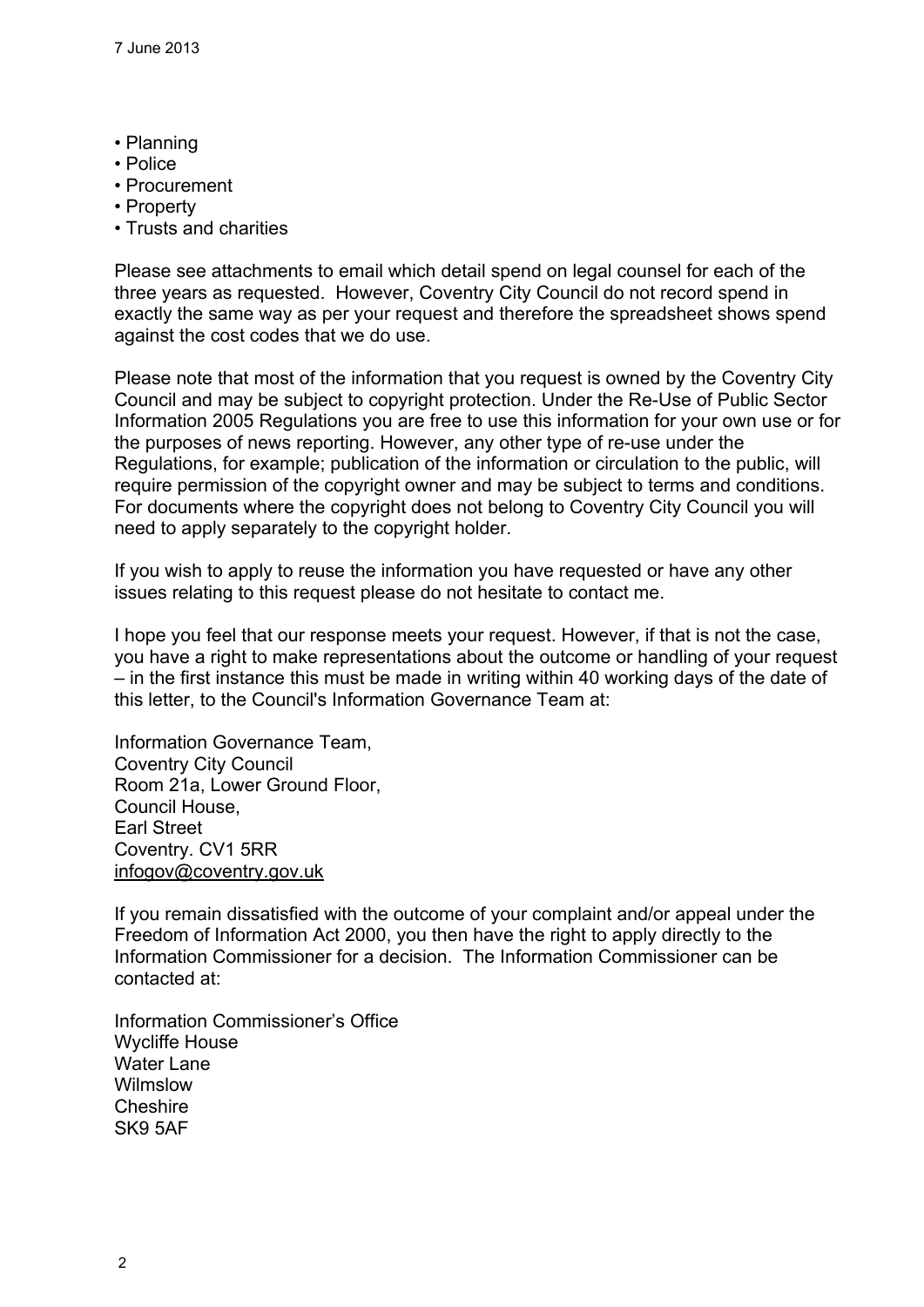- Planning
- Police
- Procurement
- Property
- Trusts and charities

Please see attachments to email which detail spend on legal counsel for each of the three years as requested. However, Coventry City Council do not record spend in exactly the same way as per your request and therefore the spreadsheet shows spend against the cost codes that we do use.

Please note that most of the information that you request is owned by the Coventry City Council and may be subject to copyright protection. Under the Re-Use of Public Sector Information 2005 Regulations you are free to use this information for your own use or for the purposes of news reporting. However, any other type of re-use under the Regulations, for example; publication of the information or circulation to the public, will require permission of the copyright owner and may be subject to terms and conditions. For documents where the copyright does not belong to Coventry City Council you will need to apply separately to the copyright holder.

If you wish to apply to reuse the information you have requested or have any other issues relating to this request please do not hesitate to contact me.

I hope you feel that our response meets your request. However, if that is not the case, you have a right to make representations about the outcome or handling of your request – in the first instance this must be made in writing within 40 working days of the date of this letter, to the Council's Information Governance Team at:

Information Governance Team, Coventry City Council Room 21a, Lower Ground Floor, Council House, Earl Street Coventry. CV1 5RR [infogov@coventry.gov.uk](mailto:infogov@coventry.gov.uk)

If you remain dissatisfied with the outcome of your complaint and/or appeal under the Freedom of Information Act 2000, you then have the right to apply directly to the Information Commissioner for a decision. The Information Commissioner can be contacted at:

Information Commissioner's Office Wycliffe House Water Lane **Wilmslow Cheshire** SK9 5AF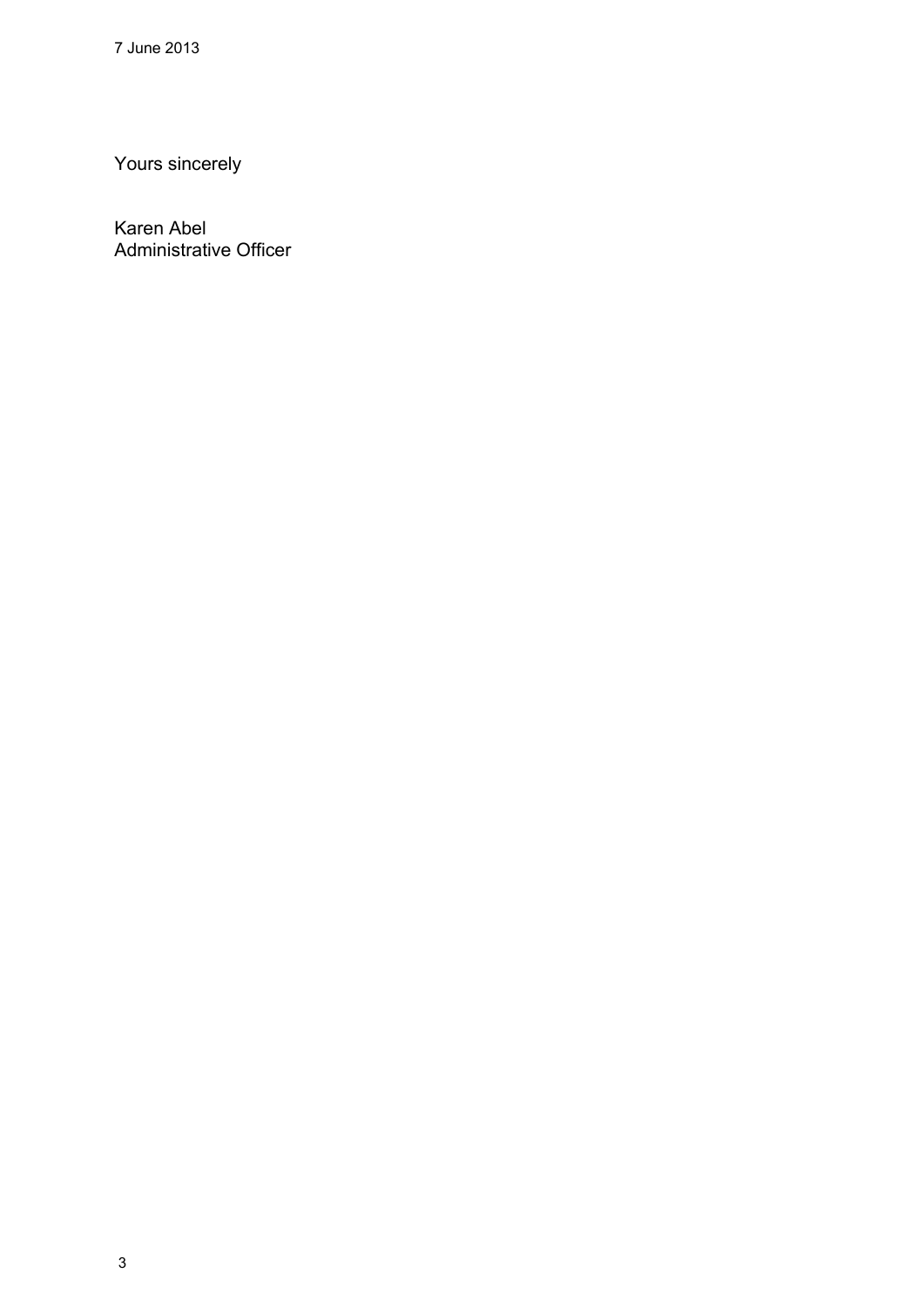Yours sincerely

Karen Abel Administrative Officer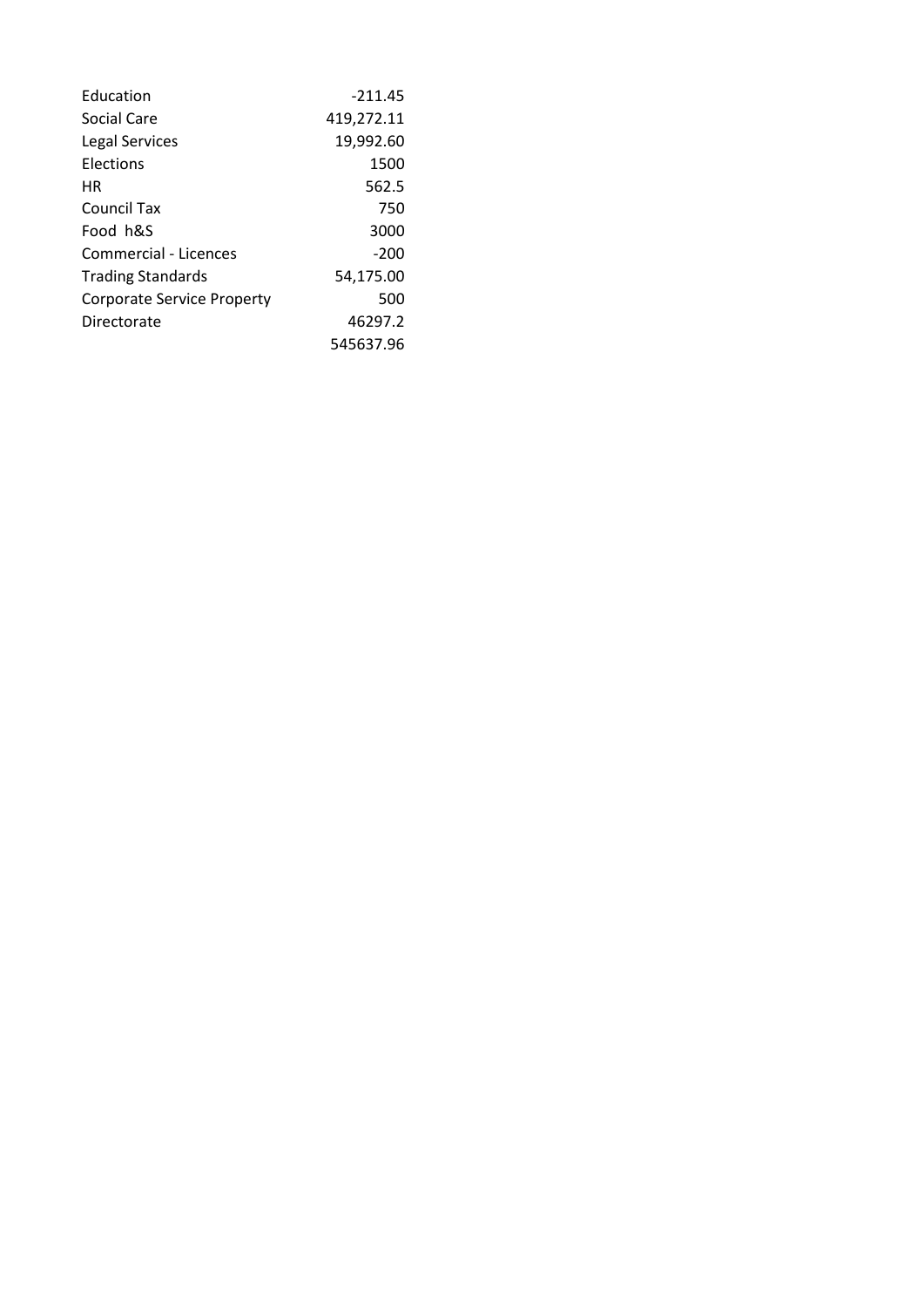| Education                    | $-211.45$  |
|------------------------------|------------|
| Social Care                  | 419,272.11 |
| Legal Services               | 19,992.60  |
| <b>Flections</b>             | 1500       |
| HR                           | 562.5      |
| Council Tax                  | 750        |
| Food h&S                     | 3000       |
| <b>Commercial - Licences</b> | $-200$     |
| <b>Trading Standards</b>     | 54,175.00  |
| Corporate Service Property   | 500        |
| Directorate                  | 46297.2    |
|                              | 545637.96  |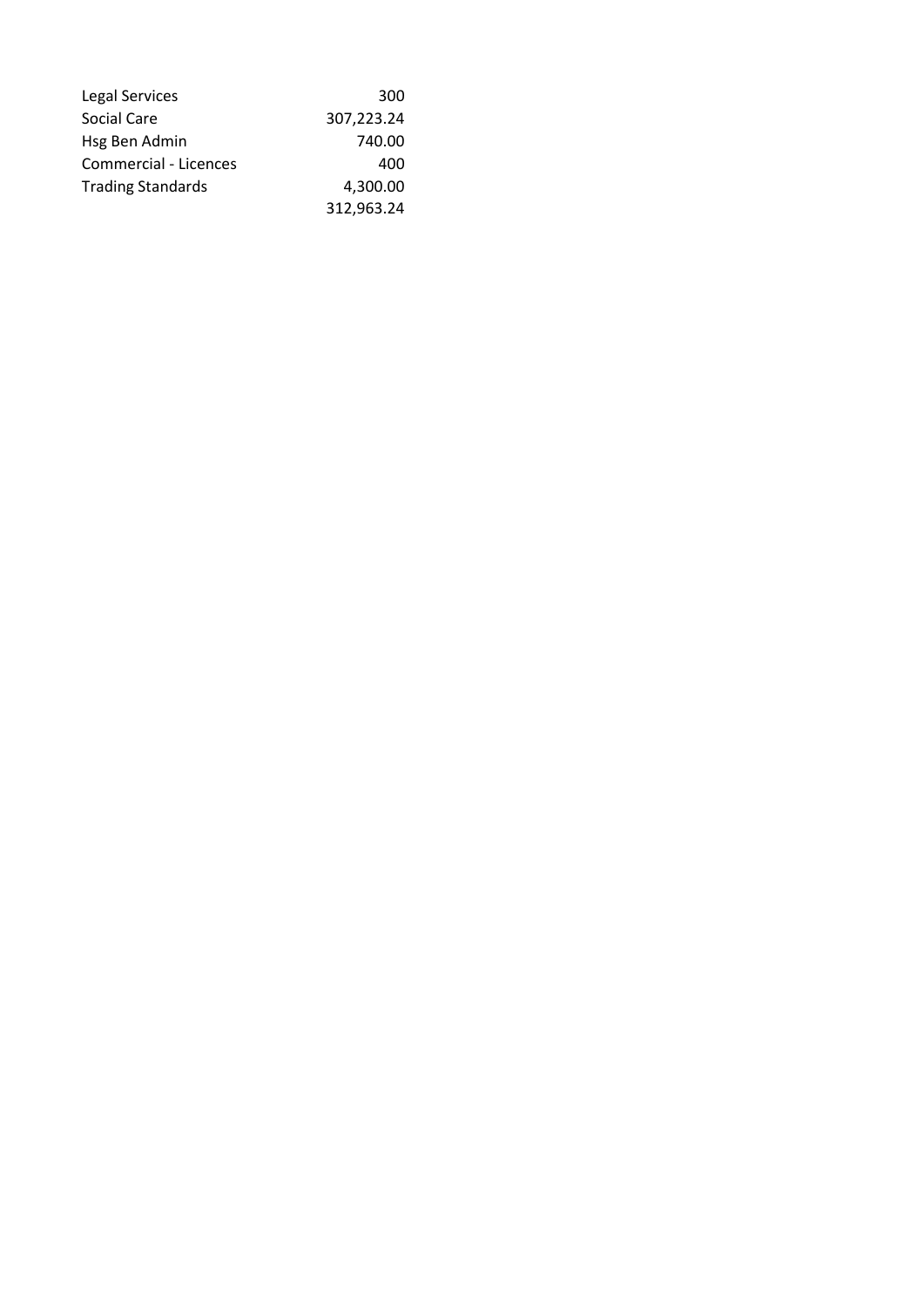| <b>Legal Services</b>    | 300        |
|--------------------------|------------|
| Social Care              | 307,223.24 |
| Hsg Ben Admin            | 740.00     |
| Commercial - Licences    | 400        |
| <b>Trading Standards</b> | 4,300.00   |
|                          | 312,963.24 |